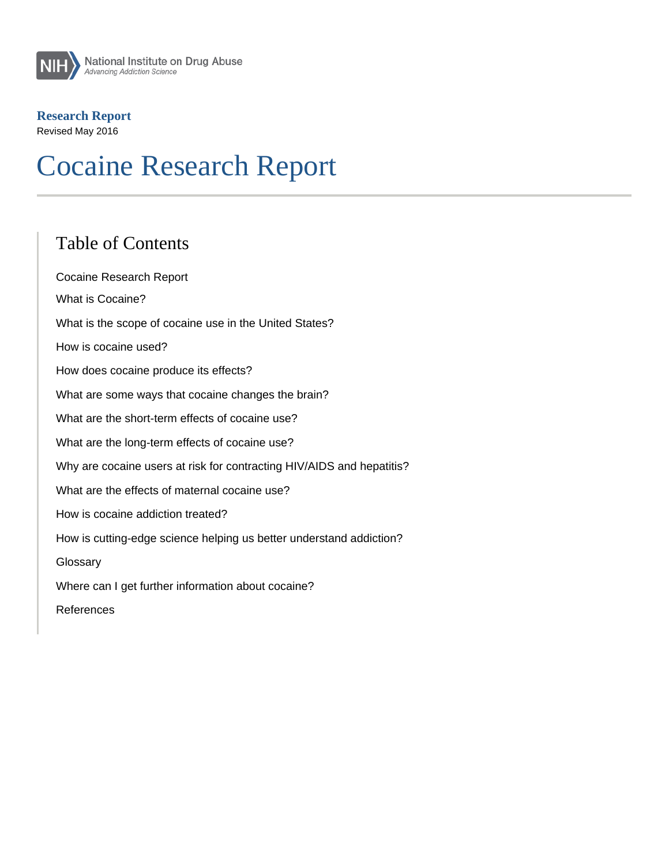#### Research Report

Revised May 2016

# Cocaine Research Report

#### Table of Contents

Cocaine Research Report What is Cocaine? What is the scope of cocaine use in the United States? How is cocaine used? How does cocaine produce its effects? What are some ways that cocaine changes the brain? What are the short-term effects of cocaine use? What are the long-term effects of cocaine use? Why are cocaine users at risk for contracting HIV/AIDS and hepatitis? What are the effects of maternal cocaine use? How is cocaine addiction treated? How is cutting-edge science helping us better understand addiction? **Glossary** Where can I get further information about cocaine? References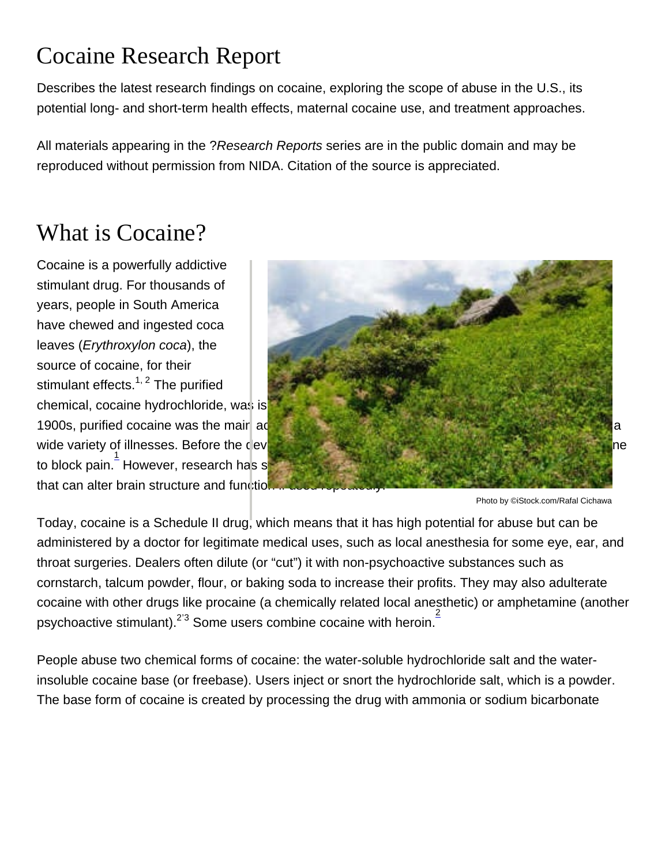## Cocaine Research Report

Describes the latest research findings on cocaine, exploring the scope of abuse in the U.S., its potential long- and short-term health effects, maternal cocaine use, and treatment approaches.

All materials appearing in the ?Research Reports series are in the public domain and may be reproduced without permission from NIDA. Citation of the source is appreciated.

## What is Cocaine?

Cocaine is a powerfully addictive stimulant drug. For thousands of years, people in South America have chewed and ingested coca leaves (Erythroxylon coca), the source of cocaine, for their stimulant effects.<sup>[1, 2](http://nida.nih.gov/publications/research-reports/cocaine/references)</sup> The purified

chemical, cocaine hydrochloride, was isolated from the plant more than 100 years ago. In the early 1900s, purified cocaine was the mair active ingredient in many tonics and elixirs developed to treat a wide variety of illnesses. Before the development of synthetic local anesthetic, surgeons used cocaine to block pain. [1](http://nida.nih.gov/publications/research-reports/cocaine/references) However, research has since shown that cocaine is a powerfully addictive substance that can alter brain structure and function if used repeatedly.

Photo by ©iStock.com/Rafal Cichawa

Today, cocaine is a Schedule II drug, which means that it has high potential for abuse but can be administered by a doctor for legitimate medical uses, such as local anesthesia for some eye, ear, and throat surgeries. Dealers often dilute (or "cut") it with non-psychoactive substances such as cornstarch, talcum powder, flour, or baking soda to increase their profits. They may also adulterate cocaine with other drugs like procaine (a chemically related local anesthetic) or amphetamine (another psychoactive stimulant).<sup>[2](http://nida.nih.gov/publications/research-reports/cocaine/references)'[3](http://nida.nih.gov/publications/research-reports/cocaine/references)</sup> Some users combine cocaine with heroin.<sup>2</sup>

People abuse two chemical forms of cocaine: the water-soluble hydrochloride salt and the waterinsoluble cocaine base (or freebase). Users inject or snort the hydrochloride salt, which is a powder. The base form of cocaine is created by processing the drug with ammonia or sodium bicarbonate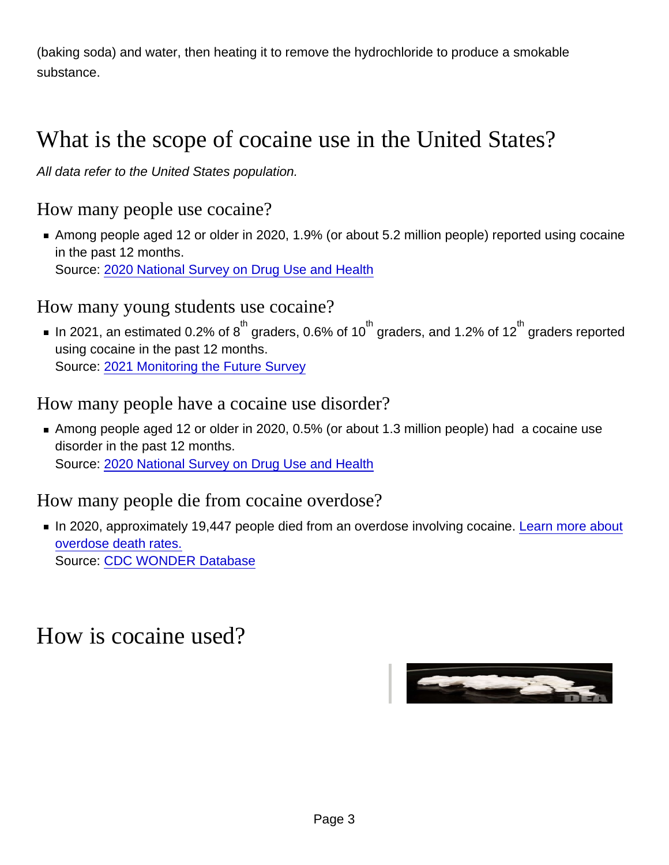(baking soda) and water, then heating it to remove the hydrochloride to produce a smokable substance.

## What is the scope of cocaine use in the United States?

All data refer to the United States population.

#### How many people use cocaine?

Among people aged 12 or older in 2020, 1.9% (or about 5.2 million people) reported using cocaine in the past 12 months. Source: [2020 National Survey on Drug Use and Health](https://www.samhsa.gov/data/release/2020-national-survey-drug-use-and-health-nsduh-releases)

#### How many young students use cocaine?

In 2021, an estimated 0.2% of  $8^{\text{th}}$  graders, 0.6% of 10 $^{\text{th}}$  graders, and 1.2% of 12 $^{\text{th}}$  graders reported using cocaine in the past 12 months. Source: [2021 Monitoring the Future Survey](http://monitoringthefuture.org/data/21data/table2.pdf)

#### How many people have a cocaine use disorder?

Among people aged 12 or older in 2020, 0.5% (or about 1.3 million people) had a cocaine use disorder in the past 12 months. Source: [2020 National Survey on Drug Use and Health](https://www.samhsa.gov/data/release/2020-national-survey-drug-use-and-health-nsduh-releases)

#### How many people die from cocaine overdose?

In 2020, approximately 19,447 people died from an overdose involving cocaine. [Learn more about](http://nida.nih.gov/drug-topics/trends-statistics/overdose-death-rates) [overdose death rates.](http://nida.nih.gov/drug-topics/trends-statistics/overdose-death-rates) Source: [CDC WONDER Database](https://wonder.cdc.gov/ucd-icd10.html)

#### How is cocaine used?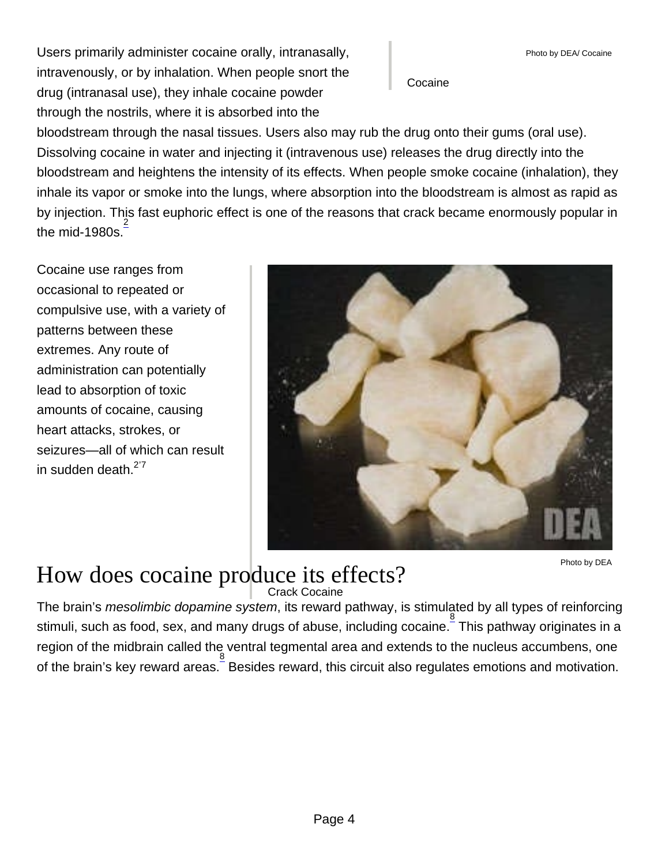Users primarily administer cocaine orally, intranasally, intravenously, or by inhalation. When people snort the drug (intranasal use), they inhale cocaine powder through the nostrils, where it is absorbed into the

Cocaine

bloodstream through the nasal tissues. Users also may rub the drug onto their gums (oral use). Dissolving cocaine in water and injecting it (intravenous use) releases the drug directly into the bloodstream and heightens the intensity of its effects. When people smoke cocaine (inhalation), they inhale its vapor or smoke into the lungs, where absorption into the bloodstream is almost as rapid as by injection. This fast euphoric effect is one of the reasons that crack became enormously popular in the mid-1980s. $\frac{2}{3}$  $\frac{2}{3}$  $\frac{2}{3}$ 

Cocaine use ranges from occasional to repeated or compulsive use, with a variety of patterns between these extremes. Any route of administration can potentially lead to absorption of toxic amounts of cocaine, causing heart attacks, strokes, or seizures—all of which can result in sudden death. $2^{27}$  $2^{27}$  $2^{27}$  $2^{27}$ 

#### Crack Cocaine How does cocaine produce its effects?

Photo by DEA

The brain's mesolimbic dopamine system, its reward pathway, is stimulated by all types of reinforcing stimuli, such as food, sex, and many drugs of abuse, including cocaine. [8](http://nida.nih.gov/node/1139) This pathway originates in a region of the midbrain called the ventral tegmental area and extends to the nucleus accumbens, one of the brain's key reward areas. Besides reward, this circuit also regulates emotions and motivation.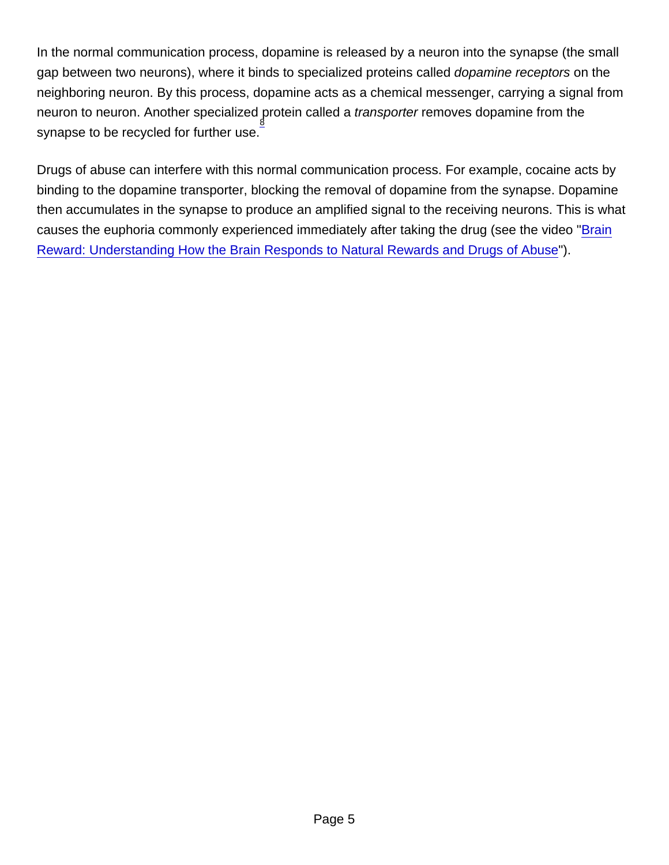In the normal communication process, dopamine is released by a neuron into the synapse (the small gap between two neurons), where it binds to specialized proteins called dopamine receptors on the neighboring neuron. By this process, dopamine acts as a chemical messenger, carrying a signal from neuron to neuron. Another specialized  $\operatorname*{g}$ rotein called a transporter removes dopamine from the synapse to be recycled for further use.

Drugs of abuse can interfere with this normal communication process. For example, cocaine acts by binding to the dopamine transporter, blocking the removal of dopamine from the synapse. Dopamine then accumulates in the synapse to produce an amplified signal to the receiving neurons. This is what causes the euphoria commonly experienced immediately after taking the drug (see the video ["Brain](https://www.youtube.com/watch?v=DMcmrP-BWGk) [Reward: Understanding How the Brain Responds to Natural Rewards and Drugs of Abuse](https://www.youtube.com/watch?v=DMcmrP-BWGk)").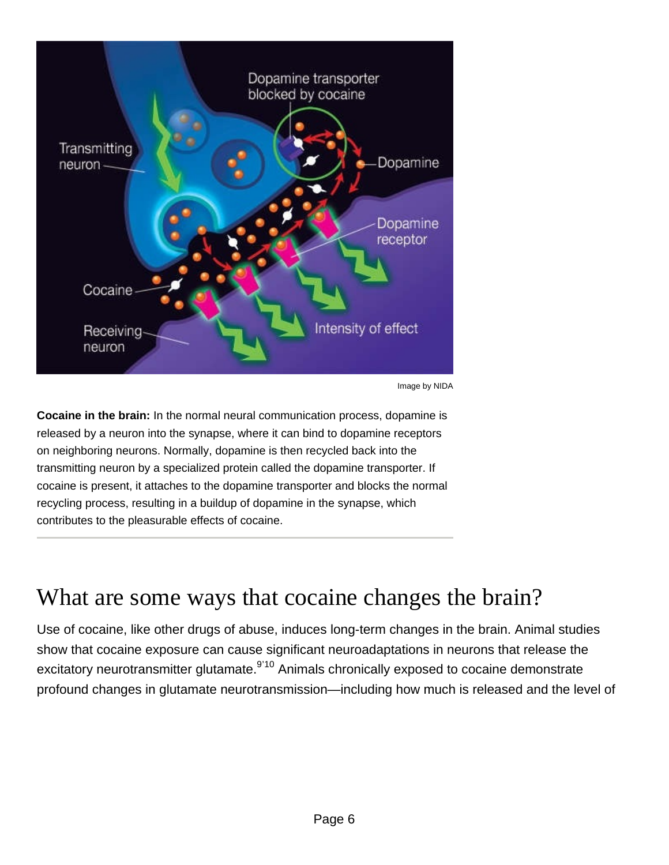Image by NIDA

Cocaine in the brain: In the normal neural communication process, dopamine is released by a neuron into the synapse, where it can bind to dopamine receptors on neighboring neurons. Normally, dopamine is then recycled back into the transmitting neuron by a specialized protein called the dopamine transporter. If cocaine is present, it attaches to the dopamine transporter and blocks the normal recycling process, resulting in a buildup of dopamine in the synapse, which contributes to the pleasurable effects of cocaine.

### What are some ways that cocaine changes the brain?

Use of cocaine, like other drugs of abuse, induces long-term changes in the brain. Animal studies show that cocaine exposure can cause significant neuroadaptations in neurons that release the excitatory neurotransmitter glutamate.<sup>[9](http://nida.nih.gov/node/1139)'[10](http://nida.nih.gov/node/1139)</sup> Animals chronically exposed to cocaine demonstrate profound changes in glutamate neurotransmission—including how much is released and the level of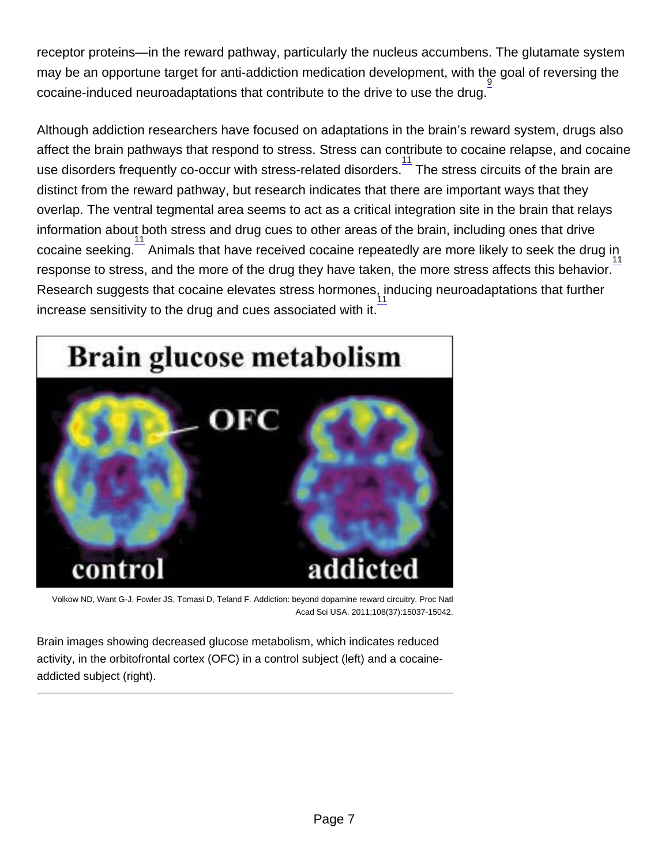receptor proteins—in the reward pathway, particularly the nucleus accumbens. The glutamate system may be an opportune target for anti-addiction medication development, with the goal of reversing the  $\frac{3}{2}$  cocaine-induced neuroadaptations that contribute to the drive to use the drug.

Although addiction researchers have focused on adaptations in the brain's reward system, drugs also affect the brain pathways that respond to stress. Stress can contribute to cocaine relapse, and cocaine use disorders frequently co-occur with stress-related disorders.<sup>[11](http://nida.nih.gov/node/1139)</sup> The stress circuits of the brain are distinct from the reward pathway, but research indicates that there are important ways that they overlap. The ventral tegmental area seems to act as a critical integration site in the brain that relays information about both stress and drug cues to other areas of the brain, including ones that drive cocaine seeking.<sup>[11](http://nida.nih.gov/node/1139)</sup> Animals that have received cocaine repeatedly are more likely to seek the drug in response to stress, and the more of the drug they have taken, the more stress affects this behavior. Research suggests that cocaine elevates stress hormones, inducing neuroadaptations that further increase sensitivity to the drug and cues associated with it. [11](http://nida.nih.gov/node/1139)

Volkow ND, Want G-J, Fowler JS, Tomasi D, Teland F. Addiction: beyond dopamine reward circuitry. Proc Natl Acad Sci USA. 2011;108(37):15037-15042.

Brain images showing decreased glucose metabolism, which indicates reduced activity, in the orbitofrontal cortex (OFC) in a control subject (left) and a cocaineaddicted subject (right).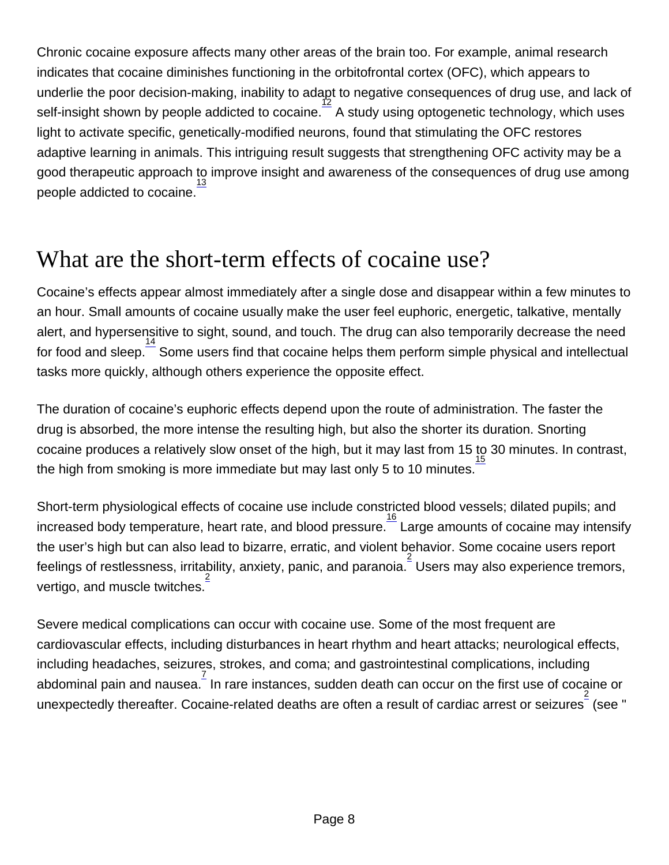Chronic cocaine exposure affects many other areas of the brain too. For example, animal research indicates that cocaine diminishes functioning in the orbitofrontal cortex (OFC), which appears to underlie the poor decision-making, inability to adapt to negative consequences of drug use, and lack of self-insight shown by people addicted to cocaine.  $\frac{12}{5}$  $\frac{12}{5}$  $\frac{12}{5}$  A study using optogenetic technology, which uses light to activate specific, genetically-modified neurons, found that stimulating the OFC restores adaptive learning in animals. This intriguing result suggests that strengthening OFC activity may be a good therapeutic approach to improve insight and awareness of the consequences of drug use among people addicted to cocaine. [13](http://nida.nih.gov/node/1139)

## What are the short-term effects of cocaine use?

Cocaine's effects appear almost immediately after a single dose and disappear within a few minutes to an hour. Small amounts of cocaine usually make the user feel euphoric, energetic, talkative, mentally alert, and hypersensitive to sight, sound, and touch. The drug can also temporarily decrease the need for food and sleep.<sup>[14](http://nida.nih.gov/node/1139)</sup> Some users find that cocaine helps them perform simple physical and intellectual tasks more quickly, although others experience the opposite effect.

The duration of cocaine's euphoric effects depend upon the route of administration. The faster the drug is absorbed, the more intense the resulting high, but also the shorter its duration. Snorting cocaine produces a relatively slow onset of the high, but it may last from 15 to 30 minutes. In contrast, the high from smoking is more immediate but may last only 5 to 10 minutes. [15](http://nida.nih.gov/node/1139)

Short-term physiological effects of cocaine use include constricted blood vessels; dilated pupils; and increased body temperature, heart rate, and blood pressure.  $\frac{16}{16}$  $\frac{16}{16}$  $\frac{16}{16}$  Large amounts of cocaine may intensify the user's high but can also lead to bizarre, erratic, and violent behavior. Some cocaine users report feelings of restlessness, irritability, anxiety, panic, and paranoia.  $\frac{2}{3}$  $\frac{2}{3}$  $\frac{2}{3}$  Users may also experience tremors, vertigo, and muscle twitches. [2](http://nida.nih.gov/node/1139)

Severe medical complications can occur with cocaine use. Some of the most frequent are cardiovascular effects, including disturbances in heart rhythm and heart attacks; neurological effects, including headaches, seizures, strokes, and coma; and gastrointestinal complications, including abdominal pain and nausea. <sup>[7](http://nida.nih.gov/node/1139)</sup> In rare instances, sudden death can occur on the first use of cocaine or unexpectedly thereafter. Cocaine-related deaths are often a result of cardiac arrest or seizures  $\frac{2}{3}$  $\frac{2}{3}$  $\frac{2}{3}$  (see "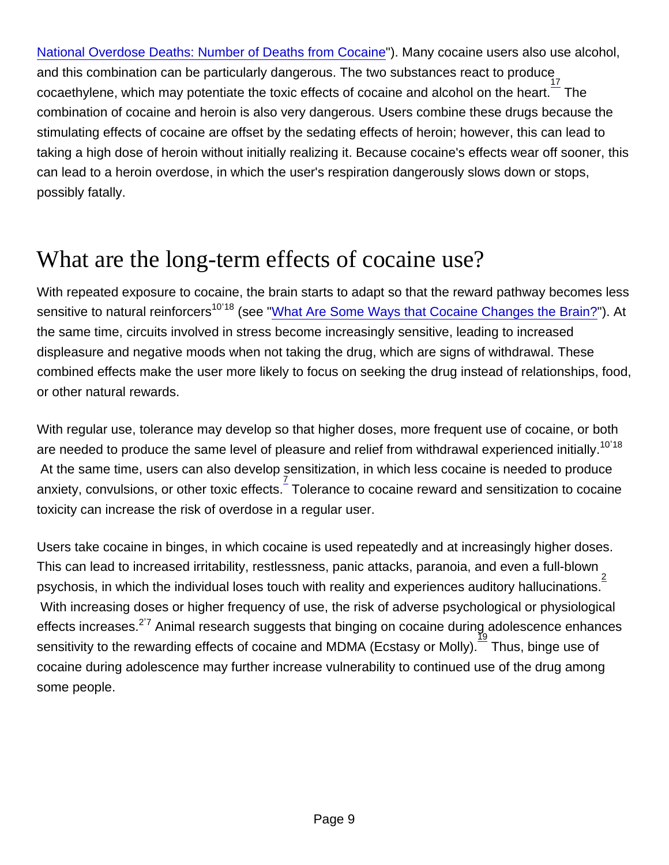[National Overdose Deaths: Number of Deaths from Cocaine](http://nida.nih.gov/node/1144#overdose)"). Many cocaine users also use alcohol, and this combination can be particularly dangerous. The two substances react to produce  $\frac{1}{2}$  cocaethylene, which may potentiate the toxic effects of cocaine and alcohol on the heart. The combination of cocaine and heroin is also very dangerous. Users combine these drugs because the stimulating effects of cocaine are offset by the sedating effects of heroin; however, this can lead to taking a high dose of heroin without initially realizing it. Because cocaine's effects wear off sooner, this can lead to a heroin overdose, in which the user's respiration dangerously slows down or stops, possibly fatally.

## What are the long-term effects of cocaine use?

With repeated exposure to cocaine, the brain starts to adapt so that the reward pathway becomes less sensitive to natural reinforcers<sup>10'18</sup> (see "[What Are Some Ways that Cocaine Changes the Brain?"](http://nida.nih.gov/publications/research-reports/cocaine/what-are-some-ways-cocaine-changes-brain)). At the same time, circuits involved in stress become increasingly sensitive, leading to increased displeasure and negative moods when not taking the drug, which are signs of withdrawal. These combined effects make the user more likely to focus on seeking the drug instead of relationships, food, or other natural rewards.

With regular use, tolerance may develop so that higher doses, more frequent use of cocaine, or both are needed to produce the same level of pleasure and relief from withdrawal experienced initially.<sup>[10](http://nida.nih.gov/node/1139)'[18](http://nida.nih.gov/node/1139)</sup> At the same time, users can also develop sensitization, in which less cocaine is needed to produce anxiety, convulsions, or other toxic effects. Tolerance to cocaine reward and sensitization to cocaine toxicity can increase the risk of overdose in a regular user.

Users take cocaine in binges, in which cocaine is used repeatedly and at increasingly higher doses. This can lead to increased irritability, restlessness, panic attacks, paranoia, and even a full-blown  $\frac{1}{2}$  $\frac{1}{2}$  $\frac{1}{2}$ psychosis, in which the individual loses touch with reality and experiences auditory hallucinations.<sup>5</sup> With increasing doses or higher frequency of use, the risk of adverse psychological or physiological effects increases.<sup>[2](http://nida.nih.gov/node/1139)'[7](http://nida.nih.gov/node/1139)</sup> Animal research suggests that binging on cocaine during adolescence enhances sensitivity to the rewarding effects of cocaine and MDMA (Ecstasy or Molly). Thus, binge use of cocaine during adolescence may further increase vulnerability to continued use of the drug among some people.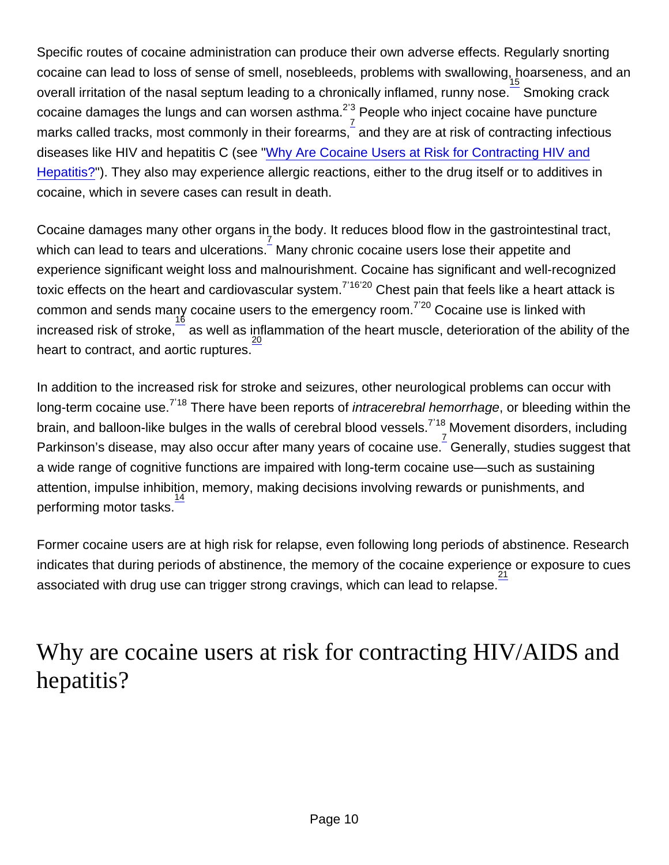Specific routes of cocaine administration can produce their own adverse effects. Regularly snorting cocaine can lead to loss of sense of smell, nosebleeds, problems with swallowing, hoarseness, and an overall irritation of the nasal septum leading to a chronically inflamed, runny nose. Smoking crack  $\sim$  cocaine damages the lungs and can worsen asthma.<sup>[2](http://nida.nih.gov/node/1139)'[3](http://nida.nih.gov/node/1139)</sup> People who inject cocaine have puncture marks called tracks, most commonly in their forearms,  $\frac{7}{5}$  $\frac{7}{5}$  $\frac{7}{5}$  and they are at risk of contracting infectious diseases like HIV and hepatitis C (see ["Why Are Cocaine Users at Risk for Contracting HIV and](http://nida.nih.gov/publications/research-reports/cocaine/are-cocaine-abusers-risk-contracting-hivaids-hepatitis-b-c) [Hepatitis?](http://nida.nih.gov/publications/research-reports/cocaine/are-cocaine-abusers-risk-contracting-hivaids-hepatitis-b-c)"). They also may experience allergic reactions, either to the drug itself or to additives in cocaine, which in severe cases can result in death.

Cocaine damages many other organs in the body. It reduces blood flow in the gastrointestinal tract, which can lead to tears and ulcerations. <sup>[7](http://nida.nih.gov/node/1139)</sup> Many chronic cocaine users lose their appetite and experience significant weight loss and malnourishment. Cocaine has significant and well-recognized toxic effects on the heart and cardiovascular system.<sup>[7](http://nida.nih.gov/node/1139)'[16](http://nida.nih.gov/node/1139)'[20](http://nida.nih.gov/node/1139)</sup> Chest pain that feels like a heart attack is  $\sim$  common and sends many cocaine users to the emergency room.  $\frac{1}{7}$  $\frac{1}{7}$  $\frac{1}{7}$ <sup>[20](http://nida.nih.gov/node/1139)</sup> Cocaine use is linked with increased risk of stroke,  $\frac{16}{16}$  $\frac{16}{16}$  $\frac{16}{16}$  as well as inflammation of the heart muscle, deterioration of the ability of the heart to contract, and aortic ruptures. [20](http://nida.nih.gov/node/1139)

In addition to the increased risk for stroke and seizures, other neurological problems can occur with long-term cocaine use.<sup>[7](http://nida.nih.gov/node/1139)'[18](http://nida.nih.gov/node/1139)</sup> There have been reports of intracerebral hemorrhage, or bleeding within the brain, and balloon-like bulges in the walls of cerebral blood vessels. $\frac{7}{7}$  $\frac{7}{7}$  $\frac{7}{7}$ Movement disorders, including Parkinson's disease, may also occur after many years of cocaine use. Generally, studies suggest that a wide range of cognitive functions are impaired with long-term cocaine use—such as sustaining attention, impulse inhibition, memory, making decisions involving rewards or punishments, and performing motor tasks.<sup>[14](http://nida.nih.gov/node/1139)</sup> [7](http://nida.nih.gov/node/1139) , [18](http://nida.nih.gov/node/1139)

Former cocaine users are at high risk for relapse, even following long periods of abstinence. Research indicates that during periods of abstinence, the memory of the cocaine experience or exposure to cues associated with drug use can trigger strong cravings, which can lead to relapse.<sup>[21](http://nida.nih.gov/node/1139)</sup>

### Why are cocaine users at risk for contracting HIV/AIDS and hepatitis?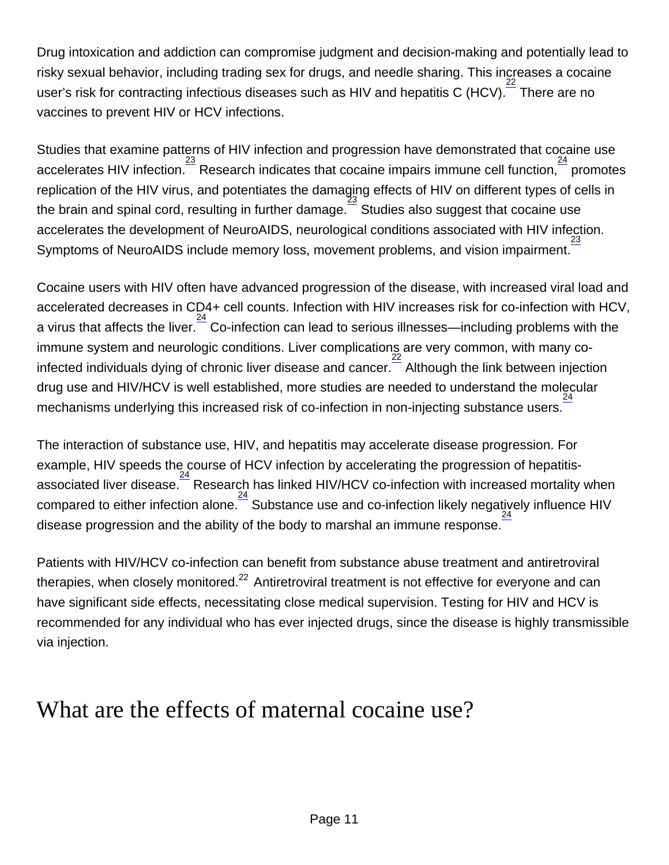Drug intoxication and addiction can compromise judgment and decision-making and potentially lead to risky sexual behavior, including trading sex for drugs, and needle sharing. This increases a cocaine user's risk for contracting infectious diseases such as HIV and hepatitis C (HCV). [22](http://nida.nih.gov/node/1139) There are no vaccines to prevent HIV or HCV infections.

Studies that examine patterns of HIV infection and progression have demonstrated that cocaine use accelerates HIV infection. <sup>[23](http://nida.nih.gov/node/1139)</sup> Research indicates that cocaine impairs immune cell function, <sup>[24](http://nida.nih.gov/node/1139)</sup> promotes replication of the HIV virus, and potentiates the damaging effects of HIV on different types of cells in the brain and spinal cord, resulting in further damage.  $\frac{23}{3}$  $\frac{23}{3}$  $\frac{23}{3}$  Studies also suggest that cocaine use accelerates the development of NeuroAIDS, neurological conditions associated with HIV infection. Symptoms of NeuroAIDS include memory loss, movement problems, and vision impairment. [23](http://nida.nih.gov/node/1139)

Cocaine users with HIV often have advanced progression of the disease, with increased viral load and accelerated decreases in CD4+ cell counts. Infection with HIV increases risk for co-infection with HCV, a virus that affects the liver. $\frac{24}{\cdot}$  $\frac{24}{\cdot}$  $\frac{24}{\cdot}$  Co-infection can lead to serious illnesses—including problems with the immune system and neurologic conditions. Liver complications are very common, with many co-infected individuals dying of chronic liver disease and cancer.<sup>[22](http://nida.nih.gov/node/1139)</sup> Although the link between injection drug use and HIV/HCV is well established, more studies are needed to understand the molecular mechanisms underlying this increased risk of co-infection in non-injecting substance users. [24](http://nida.nih.gov/node/1139)

The interaction of substance use, HIV, and hepatitis may accelerate disease progression. For example, HIV speeds the course of HCV infection by accelerating the progression of hepatitis-associated liver disease. <sup>[24](http://nida.nih.gov/node/1139)</sup> Research has linked HIV/HCV co-infection with increased mortality when compared to either infection alone. [24](http://nida.nih.gov/node/1139) Substance use and co-infection likely negatively influence HIV disease progression and the ability of the body to marshal an immune response.  $\frac{24}{1}$  $\frac{24}{1}$  $\frac{24}{1}$ 

Patients with HIV/HCV co-infection can benefit from substance abuse treatment and antiretroviral therapies, when closely monitored. $^{22}$  $^{22}$  $^{22}$  Antiretroviral treatment is not effective for everyone and can have significant side effects, necessitating close medical supervision. Testing for HIV and HCV is recommended for any individual who has ever injected drugs, since the disease is highly transmissible via injection.

### What are the effects of maternal cocaine use?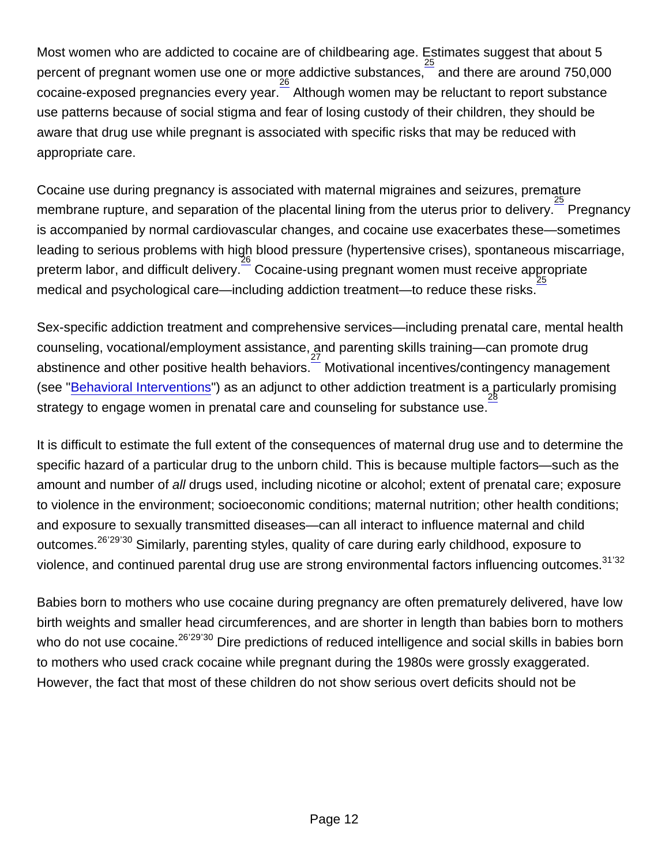Most women who are addicted to cocaine are of childbearing age. Estimates suggest that about 5 percent of pregnant women use one or more addictive substances,  $\frac{25}{25}$  $\frac{25}{25}$  $\frac{25}{25}$  and there are around 750,000 .<br>cocaine-exposed pregnancies every year.  $\frac{26}{3}$  $\frac{26}{3}$  $\frac{26}{3}$  Although women may be reluctant to report substance use patterns because of social stigma and fear of losing custody of their children, they should be aware that drug use while pregnant is associated with specific risks that may be reduced with appropriate care.

Cocaine use during pregnancy is associated with maternal migraines and seizures, premature membrane rupture, and separation of the placental lining from the uterus prior to delivery. <sup>[25](http://nida.nih.gov/node/1139)</sup> Pregnancy is accompanied by normal cardiovascular changes, and cocaine use exacerbates these—sometimes leading to serious problems with high blood pressure (hypertensive crises), spontaneous miscarriage, preterm labor, and difficult delivery. <sup>[26](http://nida.nih.gov/node/1139)</sup> Cocaine-using pregnant women must receive appropriate medical and psychological care—including addiction treatment—to reduce these risks.

Sex-specific addiction treatment and comprehensive services—including prenatal care, mental health counseling, vocational/employment assistance, and parenting skills training—can promote drug abstinence and other positive health behaviors. [27](http://nida.nih.gov/node/1139) Motivational incentives/contingency management (see "<u>[Behavioral Interventions](http://nida.nih.gov/node/1151#behavioral)</u>") as an adjunct to other addiction treatment is a particularly promising strategy to engage women in prenatal care and counseling for substance use.

It is difficult to estimate the full extent of the consequences of maternal drug use and to determine the specific hazard of a particular drug to the unborn child. This is because multiple factors—such as the amount and number of all drugs used, including nicotine or alcohol; extent of prenatal care; exposure to violence in the environment; socioeconomic conditions; maternal nutrition; other health conditions; and exposure to sexually transmitted diseases—can all interact to influence maternal and child outcomes.<sup>[26](http://nida.nih.gov/node/1139)'[29](http://nida.nih.gov/node/1139)'[30](http://nida.nih.gov/node/1139)</sup> Similarly, parenting styles, quality of care during early childhood, exposure to violence, and continued parental drug use are strong environmental factors influencing outcomes.<sup>[31](http://nida.nih.gov/node/1139)'[32](http://nida.nih.gov/node/1139)</sup>

Babies born to mothers who use cocaine during pregnancy are often prematurely delivered, have low birth weights and smaller head circumferences, and are shorter in length than babies born to mothers who do not use cocaine.<sup>[26](http://nida.nih.gov/node/1139)'[29](http://nida.nih.gov/node/1139)'[30](http://nida.nih.gov/node/1139)</sup> Dire predictions of reduced intelligence and social skills in babies born to mothers who used crack cocaine while pregnant during the 1980s were grossly exaggerated. However, the fact that most of these children do not show serious overt deficits should not be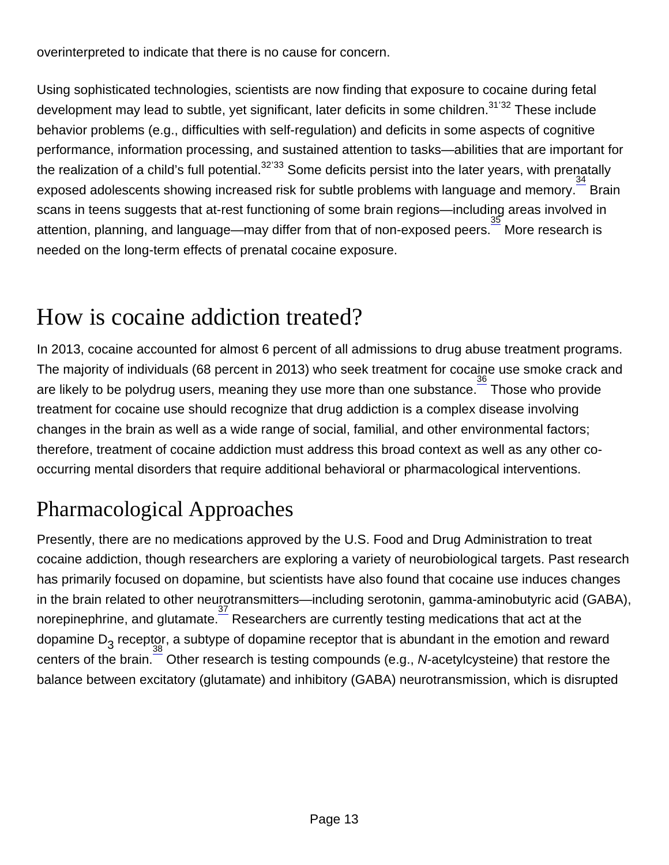overinterpreted to indicate that there is no cause for concern.

Using sophisticated technologies, scientists are now finding that exposure to cocaine during fetal development may lead to subtle, yet significant, later deficits in some children.<sup>[31](http://nida.nih.gov/node/1139)'[32](http://nida.nih.gov/node/1139)</sup> These include behavior problems (e.g., difficulties with self-regulation) and deficits in some aspects of cognitive performance, information processing, and sustained attention to tasks—abilities that are important for .<br>the realization of a child's full potential.<sup>[32](http://nida.nih.gov/node/1139)'[33](http://nida.nih.gov/node/1139)</sup> Some deficits persist into the later years, with prenatally exposed adolescents showing increased risk for subtle problems with language and memory.<sup>[34](http://nida.nih.gov/node/1139)</sup> Brain scans in teens suggests that at-rest functioning of some brain regions—including areas involved in attention, planning, and language—may differ from that of non-exposed peers. [35](http://nida.nih.gov/node/1139) More research is needed on the long-term effects of prenatal cocaine exposure.

## How is cocaine addiction treated?

In 2013, cocaine accounted for almost 6 percent of all admissions to drug abuse treatment programs. The majority of individuals (68 percent in 2013) who seek treatment for cocaine use smoke crack and are likely to be polydrug users, meaning they use more than one substance. <sup>[36](http://nida.nih.gov/node/1139)</sup> Those who provide treatment for cocaine use should recognize that drug addiction is a complex disease involving changes in the brain as well as a wide range of social, familial, and other environmental factors; therefore, treatment of cocaine addiction must address this broad context as well as any other cooccurring mental disorders that require additional behavioral or pharmacological interventions.

## Pharmacological Approaches

Presently, there are no medications approved by the U.S. Food and Drug Administration to treat cocaine addiction, though researchers are exploring a variety of neurobiological targets. Past research has primarily focused on dopamine, but scientists have also found that cocaine use induces changes in the brain related to other neurotransmitters—including serotonin, gamma-aminobutyric acid (GABA), norepinephrine, and glutamate. Thesearchers are currently testing medications that act at the dopamine D<sub>3</sub> receptor, a subtype of dopamine receptor that is abundant in the emotion and reward centers of the brain.<sup>[38](http://nida.nih.gov/node/1139)</sup> Other research is testing compounds (e.g., N-acetylcysteine) that restore the balance between excitatory (glutamate) and inhibitory (GABA) neurotransmission, which is disrupted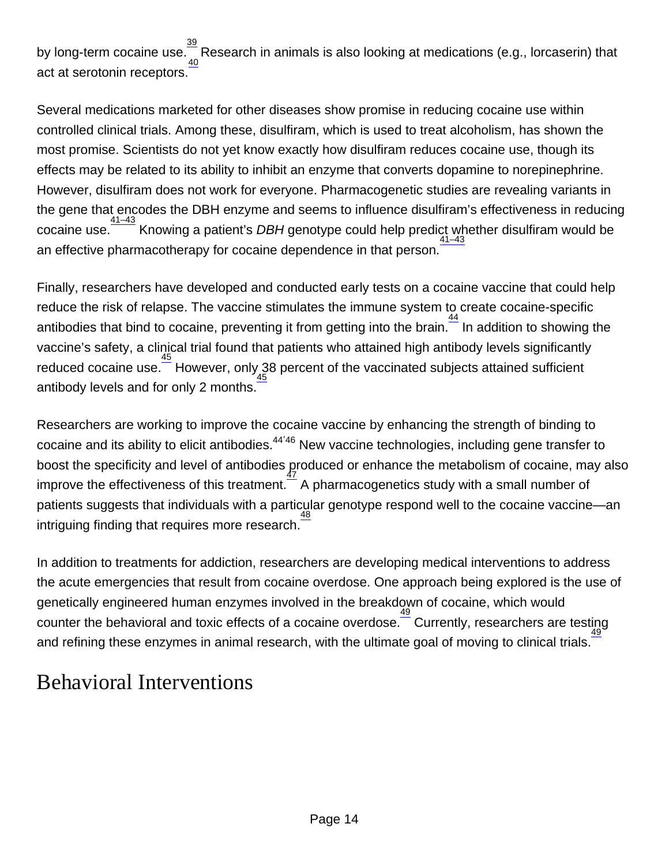by long-term cocaine use. $\frac{39}{40}$  $\frac{39}{40}$  $\frac{39}{40}$  $\frac{39}{40}$  $\frac{39}{40}$ Research in animals is also looking at medications (e.g., lorcaserin) that act at serotonin receptors.

Several medications marketed for other diseases show promise in reducing cocaine use within controlled clinical trials. Among these, disulfiram, which is used to treat alcoholism, has shown the most promise. Scientists do not yet know exactly how disulfiram reduces cocaine use, though its effects may be related to its ability to inhibit an enzyme that converts dopamine to norepinephrine. However, disulfiram does not work for everyone. Pharmacogenetic studies are revealing variants in the gene that encodes the DBH enzyme and seems to influence disulfiram's effectiveness in reducing cocaine use. <sup>[41–43](http://nida.nih.gov/node/1139)</sup> Knowing a patient's DBH genotype could help predict whether disulfiram would be an effective pharmacotherapy for cocaine dependence in that person.

Finally, researchers have developed and conducted early tests on a cocaine vaccine that could help reduce the risk of relapse. The vaccine stimulates the immune system to create cocaine-specific antibodies that bind to cocaine, preventing it from getting into the brain.<sup>[44](http://nida.nih.gov/node/1139)</sup> In addition to showing the vaccine's safety, a clinical trial found that patients who attained high antibody levels significantly reduced cocaine use.<sup>[45](http://nida.nih.gov/node/1139)</sup> However, only 38 percent of the vaccinated subjects attained sufficient antibody levels and for only 2 months. [45](http://nida.nih.gov/node/1139)

Researchers are working to improve the cocaine vaccine by enhancing the strength of binding to  $\frac{3}{2}$  cocaine and its ability to elicit antibodies.<sup>[44](http://nida.nih.gov/node/1139)'[46](http://nida.nih.gov/node/1139)</sup> New vaccine technologies, including gene transfer to boost the specificity and level of antibodies  $_{\rm 47}^{\rm 7}$  $_{\rm 47}^{\rm 7}$  $_{\rm 47}^{\rm 7}$ roduced or enhance the metabolism of cocaine, may also improve the effectiveness of this treatment. $^-$  A pharmacogenetics study with a small number of patients suggests that individuals with a particular genotype respond well to the cocaine vaccine—an  $\frac{48}{100}$  $\frac{48}{100}$  $\frac{48}{100}$  intriguing finding that requires more research.

In addition to treatments for addiction, researchers are developing medical interventions to address the acute emergencies that result from cocaine overdose. One approach being explored is the use of genetically engineered human enzymes involved in the breakdown of cocaine, which would counter the behavioral and toxic effects of a cocaine overdose.  $\frac{49}{2}$  $\frac{49}{2}$  $\frac{49}{2}$  Currently, researchers are testing and refining these enzymes in animal research, with the ultimate goal of moving to clinical trials.

### Behavioral Interventions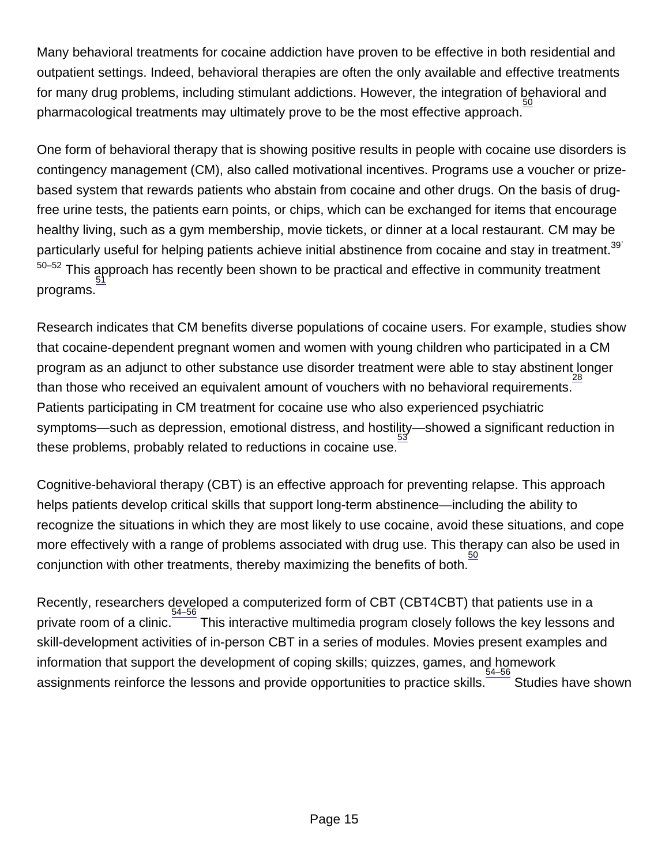Many behavioral treatments for cocaine addiction have proven to be effective in both residential and outpatient settings. Indeed, behavioral therapies are often the only available and effective treatments for many drug problems, including stimulant addictions. However, the integration of behavioral and pharmacological treatments may ultimately prove to be the most effective approach. [50](http://nida.nih.gov/node/1139)

One form of behavioral therapy that is showing positive results in people with cocaine use disorders is contingency management (CM), also called motivational incentives. Programs use a voucher or prizebased system that rewards patients who abstain from cocaine and other drugs. On the basis of drugfree urine tests, the patients earn points, or chips, which can be exchanged for items that encourage healthy living, such as a gym membership, movie tickets, or dinner at a local restaurant. CM may be particularly useful for helping patients achieve initial abstinence from cocaine and stay in treatment.<sup>[39](http://nida.nih.gov/node/1139)'</sup> This approach has recently been shown to be practical and effective in community treatment [51](http://nida.nih.gov/node/1139) programs. [50–52](http://nida.nih.gov/node/1139)

Research indicates that CM benefits diverse populations of cocaine users. For example, studies show that cocaine-dependent pregnant women and women with young children who participated in a CM program as an adjunct to other substance use disorder treatment were able to stay abstinent longer than those who received an equivalent amount of vouchers with no behavioral requirements. [28](http://nida.nih.gov/node/1139) Patients participating in CM treatment for cocaine use who also experienced psychiatric symptoms—such as depression, emotional distress, and hostility—showed a significant reduction in [53](http://nida.nih.gov/node/1139) these problems, probably related to reductions in cocaine use.

Cognitive-behavioral therapy (CBT) is an effective approach for preventing relapse. This approach helps patients develop critical skills that support long-term abstinence—including the ability to recognize the situations in which they are most likely to use cocaine, avoid these situations, and cope more effectively with a range of problems associated with drug use. This therapy can also be used in conjunction with other treatments, thereby maximizing the benefits of both. [50](http://nida.nih.gov/node/1139)

Recently, researchers developed a computerized form of CBT (CBT4CBT) that patients use in a private room of a clinic. [54–56](http://nida.nih.gov/node/1139) This interactive multimedia program closely follows the key lessons and skill-development activities of in-person CBT in a series of modules. Movies present examples and information that support the development of coping skills; quizzes, games, and homework assignments reinforce the lessons and provide opportunities to practice skills. [54–56](http://nida.nih.gov/node/1139) Studies have shown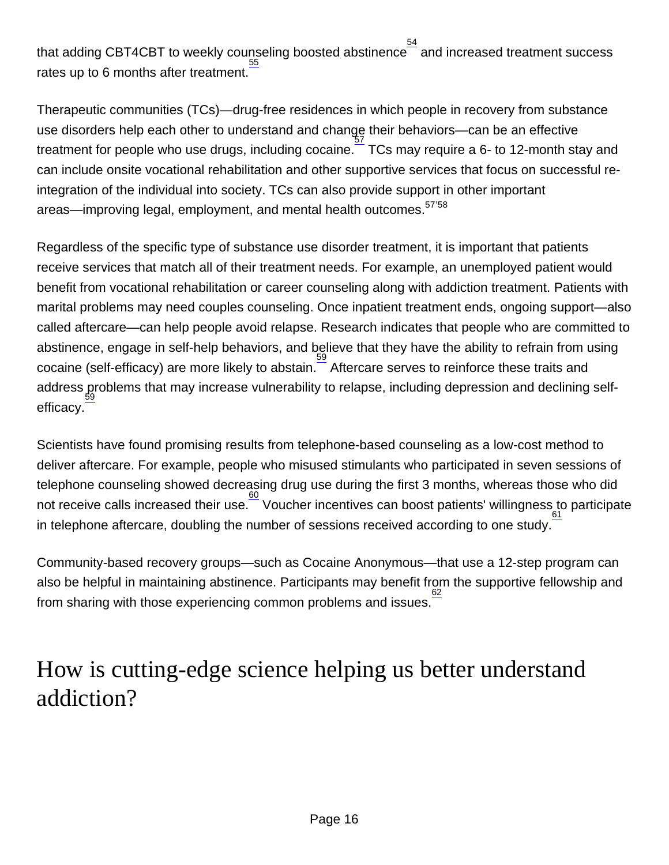that adding CBT4CBT to weekly counseling boosted abstinence $\frac{54}{2}$  $\frac{54}{2}$  $\frac{54}{2}$  and increased treatment success rates up to 6 months after treatment.

Therapeutic communities (TCs)—drug-free residences in which people in recovery from substance use disorders help each other to understand and change their behaviors—can be an effective treatment for people who use drugs, including cocaine. [57](http://nida.nih.gov/node/1139) TCs may require a 6- to 12-month stay and can include onsite vocational rehabilitation and other supportive services that focus on successful reintegration of the individual into society. TCs can also provide support in other important areas—improving legal, employment, and mental health outcomes.<sup>[57](http://nida.nih.gov/node/1139)'[58](http://nida.nih.gov/node/1139)</sup>

Regardless of the specific type of substance use disorder treatment, it is important that patients receive services that match all of their treatment needs. For example, an unemployed patient would benefit from vocational rehabilitation or career counseling along with addiction treatment. Patients with marital problems may need couples counseling. Once inpatient treatment ends, ongoing support—also called aftercare—can help people avoid relapse. Research indicates that people who are committed to abstinence, engage in self-help behaviors, and believe that they have the ability to refrain from using cocaine (self-efficacy) are more likely to abstain. [59](http://nida.nih.gov/node/1139) Aftercare serves to reinforce these traits and address problems that may increase vulnerability to relapse, including depression and declining self-[59](http://nida.nih.gov/node/1139) efficacy.

Scientists have found promising results from telephone-based counseling as a low-cost method to deliver aftercare. For example, people who misused stimulants who participated in seven sessions of telephone counseling showed decreasing drug use during the first 3 months, whereas those who did not receive calls increased their use.  $\frac{60}{50}$  $\frac{60}{50}$  $\frac{60}{50}$  Voucher incentives can boost patients' willingness to participate in telephone aftercare, doubling the number of sessions received according to one study.

Community-based recovery groups—such as Cocaine Anonymous—that use a 12-step program can also be helpful in maintaining abstinence. Participants may benefit from the supportive fellowship and from sharing with those experiencing common problems and issues. [62](http://nida.nih.gov/node/1139)

### How is cutting-edge science helping us better understand addiction?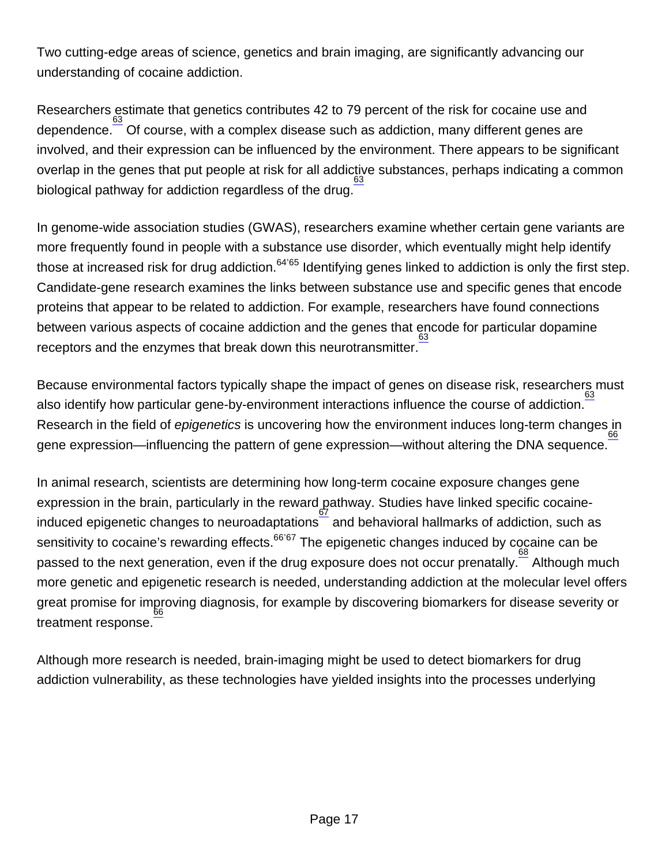Two cutting-edge areas of science, genetics and brain imaging, are significantly advancing our understanding of cocaine addiction.

Researchers estimate that genetics contributes 42 to 79 percent of the risk for cocaine use and dependence. [63](http://nida.nih.gov/node/1139) Of course, with a complex disease such as addiction, many different genes are involved, and their expression can be influenced by the environment. There appears to be significant overlap in the genes that put people at risk for all addictive substances, perhaps indicating a common biological pathway for addiction regardless of the drug.  $\frac{63}{2}$  $\frac{63}{2}$  $\frac{63}{2}$ 

In genome-wide association studies (GWAS), researchers examine whether certain gene variants are more frequently found in people with a substance use disorder, which eventually might help identify those at increased risk for drug addiction.<sup>[64](http://nida.nih.gov/node/1139)'[65](http://nida.nih.gov/node/1139)</sup> Identifying genes linked to addiction is only the first step. Candidate-gene research examines the links between substance use and specific genes that encode proteins that appear to be related to addiction. For example, researchers have found connections between various aspects of cocaine addiction and the genes that encode for particular dopamine receptors and the enzymes that break down this neurotransmitter. [63](http://nida.nih.gov/node/1139)

Because environmental factors typically shape the impact of genes on disease risk, researchers must also identify how particular gene-by-environment interactions influence the course of addiction.<sup>[63](http://nida.nih.gov/node/1139)</sup> Research in the field of epigenetics is uncovering how the environment induces long-term changes in gene expression—influencing the pattern of gene expression—without altering the DNA sequence.  $\frac{66}{100}$  $\frac{66}{100}$  $\frac{66}{100}$ 

In animal research, scientists are determining how long-term cocaine exposure changes gene expression in the brain, particularly in the reward pathway. Studies have linked specific cocaineinduced epigenetic changes to neuroadaptations  $\frac{67}{2}$  $\frac{67}{2}$  $\frac{67}{2}$  and behavioral hallmarks of addiction, such as sensitivity to cocaine's rewarding effects.<sup>[66](http://nida.nih.gov/node/1139)'[67](http://nida.nih.gov/node/1139)</sup> The epigenetic changes induced by cocaine can be passed to the next generation, even if the drug exposure does not occur prenatally. <sup>[68](http://nida.nih.gov/node/1139)</sup> Although much more genetic and epigenetic research is needed, understanding addiction at the molecular level offers great promise for improving diagnosis, for example by discovering biomarkers for disease severity or treatment response. [66](http://nida.nih.gov/node/1139)

Although more research is needed, brain-imaging might be used to detect biomarkers for drug addiction vulnerability, as these technologies have yielded insights into the processes underlying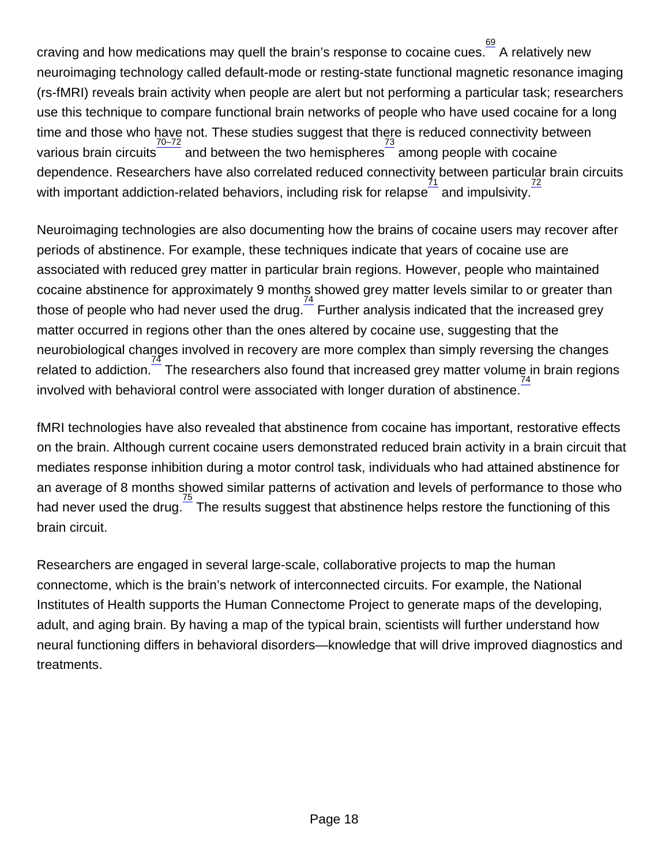craving and how medications may quell the brain's response to cocaine cues.  $\frac{69}{\cdot}$  $\frac{69}{\cdot}$  $\frac{69}{\cdot}$  A relatively new neuroimaging technology called default-mode or resting-state functional magnetic resonance imaging (rs-fMRI) reveals brain activity when people are alert but not performing a particular task; researchers use this technique to compare functional brain networks of people who have used cocaine for a long time and those who have not. These studies suggest that there is reduced connectivity between various brain circuits  $\frac{70-72}{2}$  and between the two hemispheres among people with cocaine dependence. Researchers have also correlated reduced connectivity between particular brain circuits with important addiction-related behaviors, including risk for relapse  $\frac{71}{2}$  $\frac{71}{2}$  $\frac{71}{2}$  and impulsivity.  $\frac{72}{2}$  $\frac{72}{2}$  $\frac{72}{2}$ 

Neuroimaging technologies are also documenting how the brains of cocaine users may recover after periods of abstinence. For example, these techniques indicate that years of cocaine use are associated with reduced grey matter in particular brain regions. However, people who maintained cocaine abstinence for approximately 9 months showed grey matter levels similar to or greater than those of people who had never used the drug.  $\frac{74}{1}$  $\frac{74}{1}$  $\frac{74}{1}$  Further analysis indicated that the increased grey matter occurred in regions other than the ones altered by cocaine use, suggesting that the neurobiological changes involved in recovery are more complex than simply reversing the changes related to addiction.<sup>[74](http://nida.nih.gov/node/1139)</sup> The researchers also found that increased grey matter volume in brain regions involved with behavioral control were associated with longer duration of abstinence. [74](http://nida.nih.gov/node/1139)

fMRI technologies have also revealed that abstinence from cocaine has important, restorative effects on the brain. Although current cocaine users demonstrated reduced brain activity in a brain circuit that mediates response inhibition during a motor control task, individuals who had attained abstinence for an average of 8 months showed similar patterns of activation and levels of performance to those who had never used the drug. $\frac{75}{5}$  $\frac{75}{5}$  $\frac{75}{5}$  The results suggest that abstinence helps restore the functioning of this brain circuit.

Researchers are engaged in several large-scale, collaborative projects to map the human connectome, which is the brain's network of interconnected circuits. For example, the National Institutes of Health supports the Human Connectome Project to generate maps of the developing, adult, and aging brain. By having a map of the typical brain, scientists will further understand how neural functioning differs in behavioral disorders—knowledge that will drive improved diagnostics and treatments.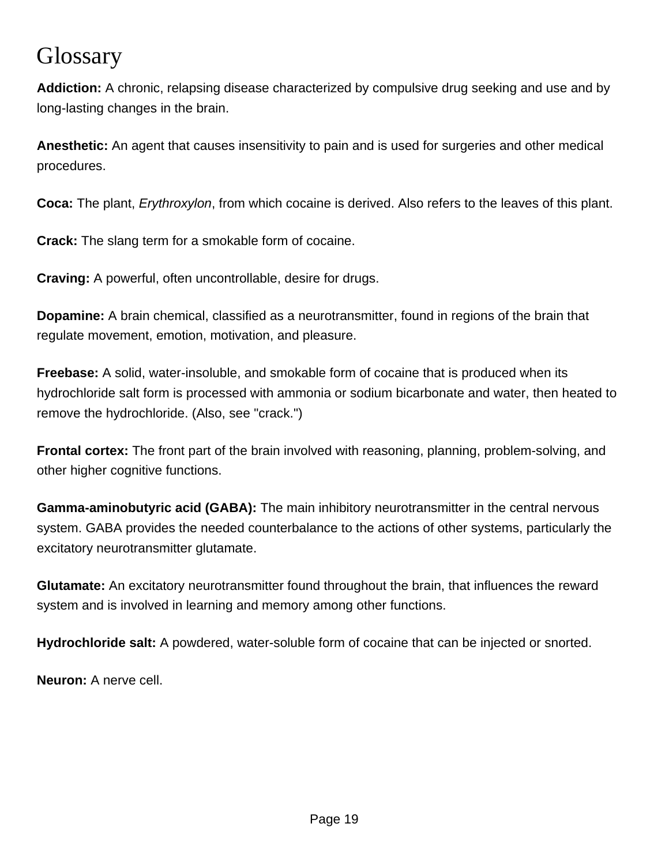### **Glossary**

**Addiction:** A chronic, relapsing disease characterized by compulsive drug seeking and use and by long-lasting changes in the brain.

**Anesthetic:** An agent that causes insensitivity to pain and is used for surgeries and other medical procedures.

**Coca:** The plant, Erythroxylon, from which cocaine is derived. Also refers to the leaves of this plant.

**Crack:** The slang term for a smokable form of cocaine.

**Craving:** A powerful, often uncontrollable, desire for drugs.

**Dopamine:** A brain chemical, classified as a neurotransmitter, found in regions of the brain that regulate movement, emotion, motivation, and pleasure.

**Freebase:** A solid, water-insoluble, and smokable form of cocaine that is produced when its hydrochloride salt form is processed with ammonia or sodium bicarbonate and water, then heated to remove the hydrochloride. (Also, see "crack.")

**Frontal cortex:** The front part of the brain involved with reasoning, planning, problem-solving, and other higher cognitive functions.

**Gamma-aminobutyric acid (GABA):** The main inhibitory neurotransmitter in the central nervous system. GABA provides the needed counterbalance to the actions of other systems, particularly the excitatory neurotransmitter glutamate.

**Glutamate:** An excitatory neurotransmitter found throughout the brain, that influences the reward system and is involved in learning and memory among other functions.

**Hydrochloride salt:** A powdered, water-soluble form of cocaine that can be injected or snorted.

**Neuron:** A nerve cell.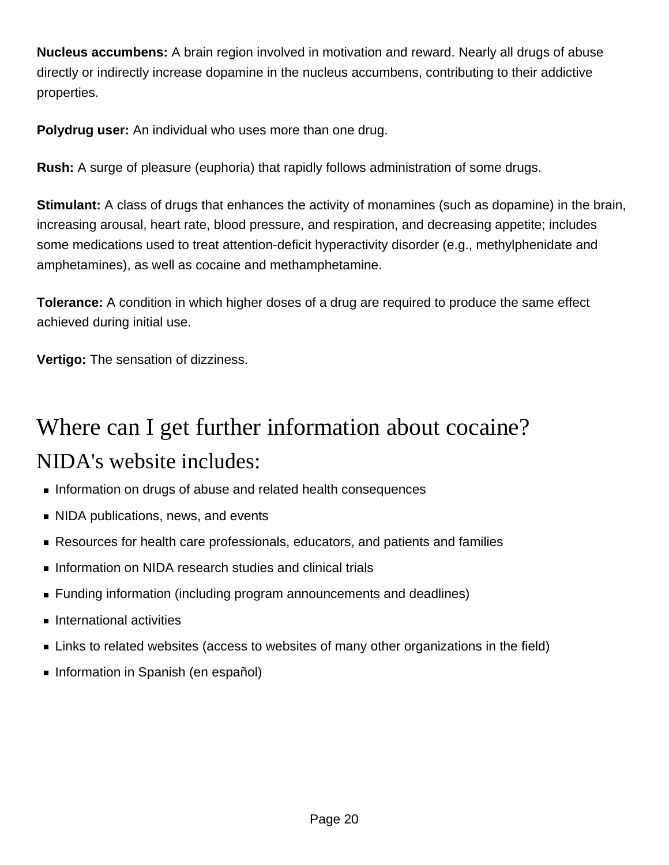**Nucleus accumbens:** A brain region involved in motivation and reward. Nearly all drugs of abuse directly or indirectly increase dopamine in the nucleus accumbens, contributing to their addictive properties.

**Polydrug user:** An individual who uses more than one drug.

**Rush:** A surge of pleasure (euphoria) that rapidly follows administration of some drugs.

**Stimulant:** A class of drugs that enhances the activity of monamines (such as dopamine) in the brain, increasing arousal, heart rate, blood pressure, and respiration, and decreasing appetite; includes some medications used to treat attention-deficit hyperactivity disorder (e.g., methylphenidate and amphetamines), as well as cocaine and methamphetamine.

**Tolerance:** A condition in which higher doses of a drug are required to produce the same effect achieved during initial use.

**Vertigo:** The sensation of dizziness.

# Where can I get further information about cocaine? NIDA's website includes:

- Information on drugs of abuse and related health consequences
- NIDA publications, news, and events
- Resources for health care professionals, educators, and patients and families
- Information on NIDA research studies and clinical trials
- Funding information (including program announcements and deadlines)
- **International activities**
- **EXTERG** Links to related websites (access to websites of many other organizations in the field)
- **Information in Spanish (en español)**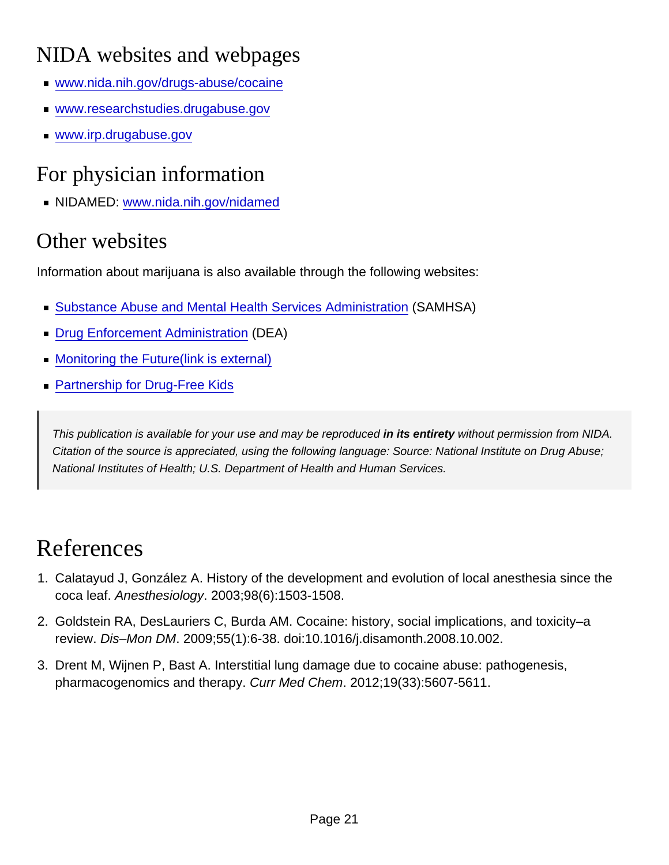### NIDA websites and webpages

- [www.nida.nih.gov/drugs-abuse/cocaine](http://nida.nih.gov/drugs-abuse/cocaine)
- [www.researchstudies.drugabuse.gov](http://www.researchstudies.drugabuse.gov/)
- [www.irp.drugabuse.gov](http://www.irp.drugabuse.gov/)

### For physician information

NIDAMED: [www.nida.nih.gov/nidamed](http://nida.nih.gov/nidamed)

#### Other websites

Information about marijuana is also available through the following websites:

- [Substance Abuse and Mental Health Services Administration](https://www.samhsa.gov/) (SAMHSA)
- [Drug Enforcement Administration](https://www.dea.gov/) (DEA)
- [Monitoring the Future\(link is external\)](http://www.monitoringthefuture.org/)
- **[Partnership for Drug-Free Kids](http://www.drugfree.org/drug-guide)**

This publication is available for your use and may be reproduced in its entirety without permission from NIDA. Citation of the source is appreciated, using the following language: Source: National Institute on Drug Abuse; National Institutes of Health; U.S. Department of Health and Human Services.

## **References**

- 1. Calatayud J, González A. History of the development and evolution of local anesthesia since the coca leaf. Anesthesiology. 2003;98(6):1503-1508.
- 2. Goldstein RA, DesLauriers C, Burda AM. Cocaine: history, social implications, and toxicity–a review. Dis–Mon DM. 2009;55(1):6-38. doi:10.1016/j.disamonth.2008.10.002.
- 3. Drent M, Wijnen P, Bast A. Interstitial lung damage due to cocaine abuse: pathogenesis, pharmacogenomics and therapy. Curr Med Chem. 2012;19(33):5607-5611.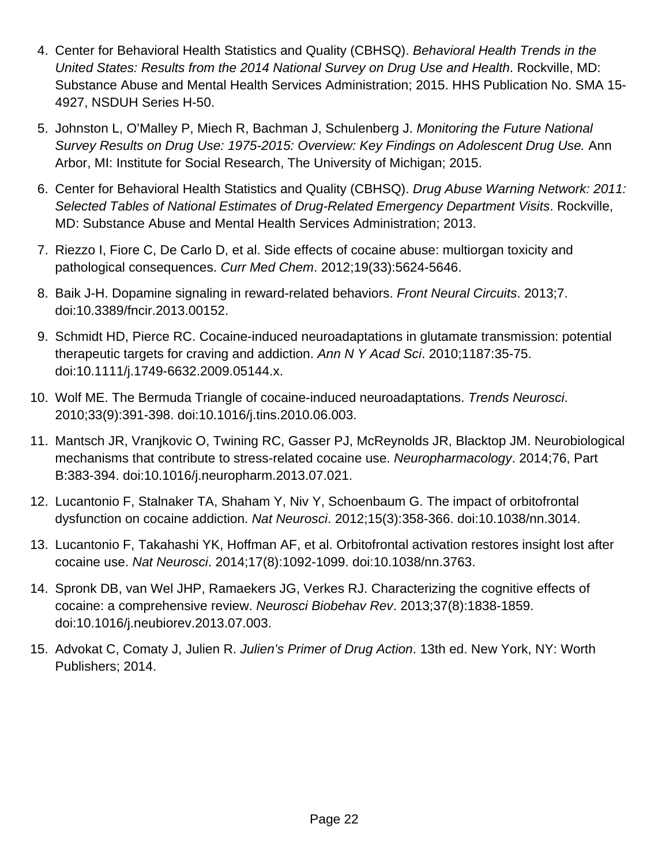- 4. Center for Behavioral Health Statistics and Quality (CBHSQ). Behavioral Health Trends in the United States: Results from the 2014 National Survey on Drug Use and Health. Rockville, MD: Substance Abuse and Mental Health Services Administration; 2015. HHS Publication No. SMA 15- 4927, NSDUH Series H-50.
- 5. Johnston L, O'Malley P, Miech R, Bachman J, Schulenberg J. Monitoring the Future National Survey Results on Drug Use: 1975-2015: Overview: Key Findings on Adolescent Drug Use. Ann Arbor, MI: Institute for Social Research, The University of Michigan; 2015.
- 6. Center for Behavioral Health Statistics and Quality (CBHSQ). Drug Abuse Warning Network: 2011: Selected Tables of National Estimates of Drug-Related Emergency Department Visits. Rockville, MD: Substance Abuse and Mental Health Services Administration; 2013.
- 7. Riezzo I, Fiore C, De Carlo D, et al. Side effects of cocaine abuse: multiorgan toxicity and pathological consequences. Curr Med Chem. 2012;19(33):5624-5646.
- 8. Baik J-H. Dopamine signaling in reward-related behaviors. Front Neural Circuits. 2013;7. doi:10.3389/fncir.2013.00152.
- 9. Schmidt HD, Pierce RC. Cocaine-induced neuroadaptations in glutamate transmission: potential therapeutic targets for craving and addiction. Ann N Y Acad Sci. 2010;1187:35-75. doi:10.1111/j.1749-6632.2009.05144.x.
- 10. Wolf ME. The Bermuda Triangle of cocaine-induced neuroadaptations. Trends Neurosci. 2010;33(9):391-398. doi:10.1016/j.tins.2010.06.003.
- 11. Mantsch JR, Vranjkovic O, Twining RC, Gasser PJ, McReynolds JR, Blacktop JM. Neurobiological mechanisms that contribute to stress-related cocaine use. Neuropharmacology. 2014;76, Part B:383-394. doi:10.1016/j.neuropharm.2013.07.021.
- 12. Lucantonio F, Stalnaker TA, Shaham Y, Niv Y, Schoenbaum G. The impact of orbitofrontal dysfunction on cocaine addiction. Nat Neurosci. 2012;15(3):358-366. doi:10.1038/nn.3014.
- 13. Lucantonio F, Takahashi YK, Hoffman AF, et al. Orbitofrontal activation restores insight lost after cocaine use. Nat Neurosci. 2014;17(8):1092-1099. doi:10.1038/nn.3763.
- 14. Spronk DB, van Wel JHP, Ramaekers JG, Verkes RJ. Characterizing the cognitive effects of cocaine: a comprehensive review. Neurosci Biobehav Rev. 2013;37(8):1838-1859. doi:10.1016/j.neubiorev.2013.07.003.
- 15. Advokat C, Comaty J, Julien R. Julien's Primer of Drug Action. 13th ed. New York, NY: Worth Publishers; 2014.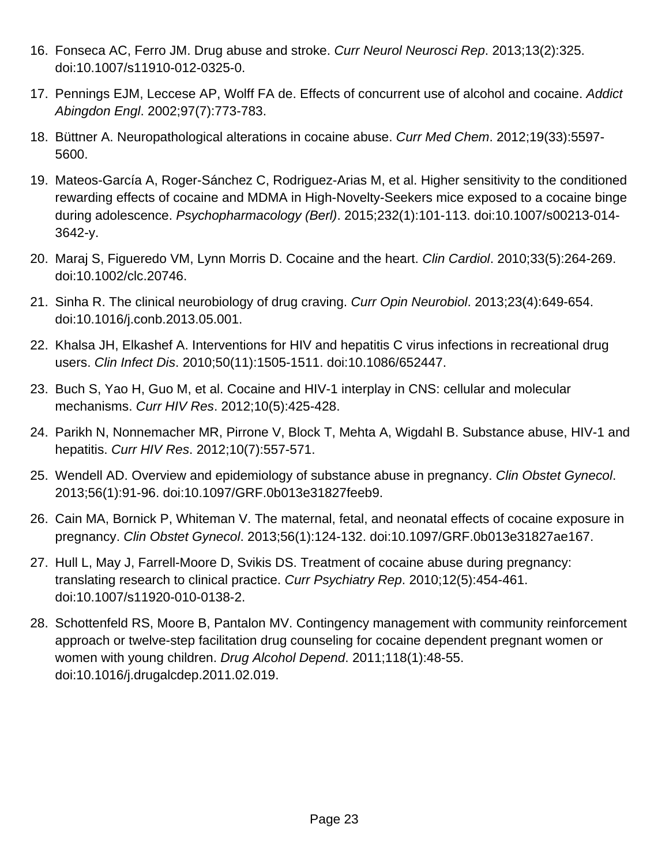- 16. Fonseca AC, Ferro JM. Drug abuse and stroke. Curr Neurol Neurosci Rep. 2013;13(2):325. doi:10.1007/s11910-012-0325-0.
- 17. Pennings EJM, Leccese AP, Wolff FA de. Effects of concurrent use of alcohol and cocaine. Addict Abingdon Engl. 2002;97(7):773-783.
- 18. Büttner A. Neuropathological alterations in cocaine abuse. Curr Med Chem. 2012;19(33):5597- 5600.
- 19. Mateos-García A, Roger-Sánchez C, Rodriguez-Arias M, et al. Higher sensitivity to the conditioned rewarding effects of cocaine and MDMA in High-Novelty-Seekers mice exposed to a cocaine binge during adolescence. Psychopharmacology (Berl). 2015;232(1):101-113. doi:10.1007/s00213-014- 3642-y.
- 20. Maraj S, Figueredo VM, Lynn Morris D. Cocaine and the heart. Clin Cardiol. 2010;33(5):264-269. doi:10.1002/clc.20746.
- 21. Sinha R. The clinical neurobiology of drug craving. Curr Opin Neurobiol. 2013;23(4):649-654. doi:10.1016/j.conb.2013.05.001.
- 22. Khalsa JH, Elkashef A. Interventions for HIV and hepatitis C virus infections in recreational drug users. Clin Infect Dis. 2010;50(11):1505-1511. doi:10.1086/652447.
- 23. Buch S, Yao H, Guo M, et al. Cocaine and HIV-1 interplay in CNS: cellular and molecular mechanisms. Curr HIV Res. 2012;10(5):425-428.
- 24. Parikh N, Nonnemacher MR, Pirrone V, Block T, Mehta A, Wigdahl B. Substance abuse, HIV-1 and hepatitis. Curr HIV Res. 2012;10(7):557-571.
- 25. Wendell AD. Overview and epidemiology of substance abuse in pregnancy. Clin Obstet Gynecol. 2013;56(1):91-96. doi:10.1097/GRF.0b013e31827feeb9.
- 26. Cain MA, Bornick P, Whiteman V. The maternal, fetal, and neonatal effects of cocaine exposure in pregnancy. Clin Obstet Gynecol. 2013;56(1):124-132. doi:10.1097/GRF.0b013e31827ae167.
- 27. Hull L, May J, Farrell-Moore D, Svikis DS. Treatment of cocaine abuse during pregnancy: translating research to clinical practice. Curr Psychiatry Rep. 2010;12(5):454-461. doi:10.1007/s11920-010-0138-2.
- 28. Schottenfeld RS, Moore B, Pantalon MV. Contingency management with community reinforcement approach or twelve-step facilitation drug counseling for cocaine dependent pregnant women or women with young children. Drug Alcohol Depend. 2011;118(1):48-55. doi:10.1016/j.drugalcdep.2011.02.019.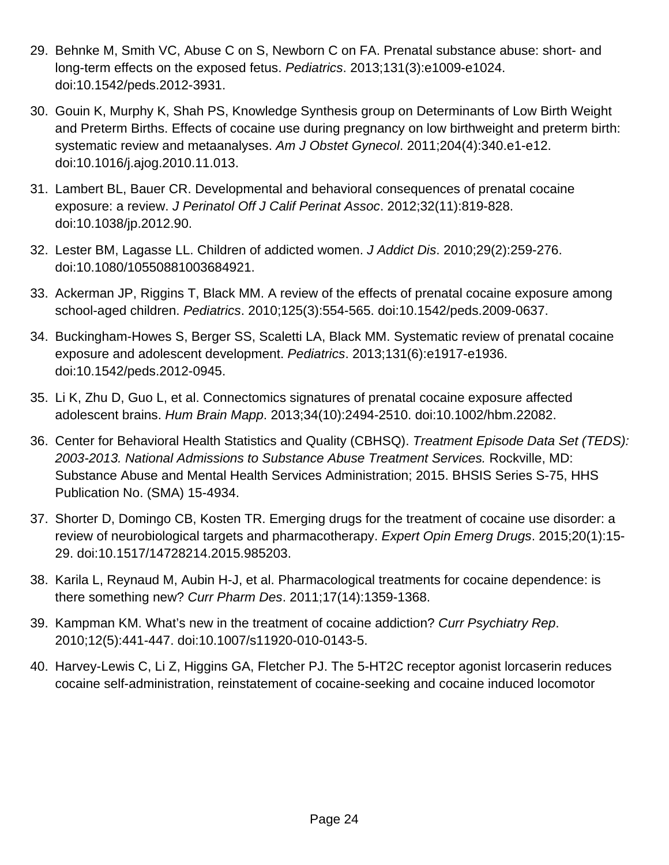- 29. Behnke M, Smith VC, Abuse C on S, Newborn C on FA. Prenatal substance abuse: short- and long-term effects on the exposed fetus. Pediatrics. 2013;131(3):e1009-e1024. doi:10.1542/peds.2012-3931.
- 30. Gouin K, Murphy K, Shah PS, Knowledge Synthesis group on Determinants of Low Birth Weight and Preterm Births. Effects of cocaine use during pregnancy on low birthweight and preterm birth: systematic review and metaanalyses. Am J Obstet Gynecol. 2011;204(4):340.e1-e12. doi:10.1016/j.ajog.2010.11.013.
- 31. Lambert BL, Bauer CR. Developmental and behavioral consequences of prenatal cocaine exposure: a review. J Perinatol Off J Calif Perinat Assoc. 2012;32(11):819-828. doi:10.1038/jp.2012.90.
- 32. Lester BM, Lagasse LL. Children of addicted women. J Addict Dis. 2010;29(2):259-276. doi:10.1080/10550881003684921.
- 33. Ackerman JP, Riggins T, Black MM. A review of the effects of prenatal cocaine exposure among school-aged children. Pediatrics. 2010;125(3):554-565. doi:10.1542/peds.2009-0637.
- 34. Buckingham-Howes S, Berger SS, Scaletti LA, Black MM. Systematic review of prenatal cocaine exposure and adolescent development. Pediatrics. 2013;131(6):e1917-e1936. doi:10.1542/peds.2012-0945.
- 35. Li K, Zhu D, Guo L, et al. Connectomics signatures of prenatal cocaine exposure affected adolescent brains. Hum Brain Mapp. 2013;34(10):2494-2510. doi:10.1002/hbm.22082.
- 36. Center for Behavioral Health Statistics and Quality (CBHSQ). Treatment Episode Data Set (TEDS): 2003-2013. National Admissions to Substance Abuse Treatment Services. Rockville, MD: Substance Abuse and Mental Health Services Administration; 2015. BHSIS Series S-75, HHS Publication No. (SMA) 15-4934.
- 37. Shorter D, Domingo CB, Kosten TR. Emerging drugs for the treatment of cocaine use disorder: a review of neurobiological targets and pharmacotherapy. Expert Opin Emerg Drugs. 2015;20(1):15-29. doi:10.1517/14728214.2015.985203.
- 38. Karila L, Reynaud M, Aubin H-J, et al. Pharmacological treatments for cocaine dependence: is there something new? Curr Pharm Des. 2011;17(14):1359-1368.
- 39. Kampman KM. What's new in the treatment of cocaine addiction? Curr Psychiatry Rep. 2010;12(5):441-447. doi:10.1007/s11920-010-0143-5.
- 40. Harvey-Lewis C, Li Z, Higgins GA, Fletcher PJ. The 5-HT2C receptor agonist lorcaserin reduces cocaine self-administration, reinstatement of cocaine-seeking and cocaine induced locomotor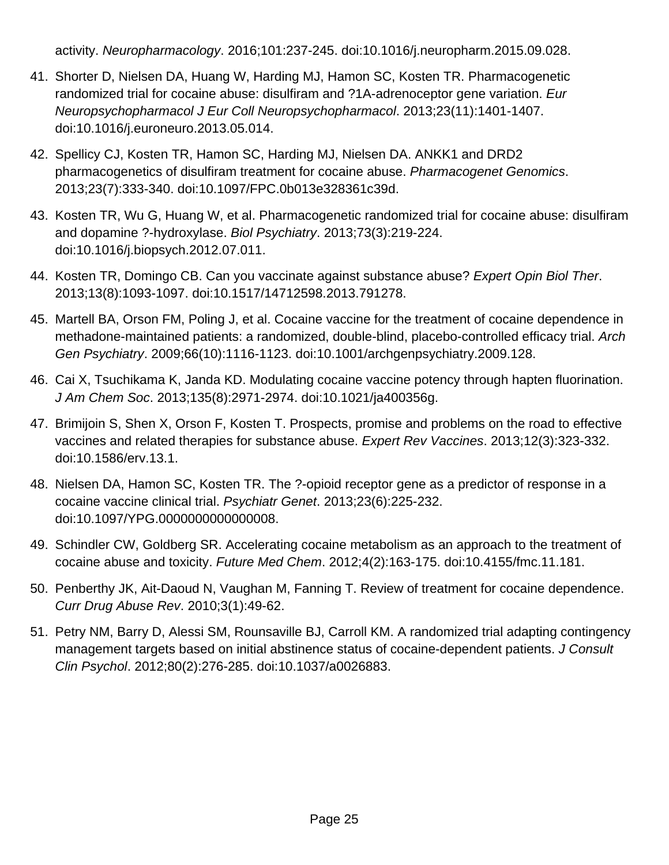activity. Neuropharmacology. 2016;101:237-245. doi:10.1016/j.neuropharm.2015.09.028.

- 41. Shorter D, Nielsen DA, Huang W, Harding MJ, Hamon SC, Kosten TR. Pharmacogenetic randomized trial for cocaine abuse: disulfiram and ?1A-adrenoceptor gene variation. Eur Neuropsychopharmacol J Eur Coll Neuropsychopharmacol. 2013;23(11):1401-1407. doi:10.1016/j.euroneuro.2013.05.014.
- 42. Spellicy CJ, Kosten TR, Hamon SC, Harding MJ, Nielsen DA. ANKK1 and DRD2 pharmacogenetics of disulfiram treatment for cocaine abuse. Pharmacogenet Genomics. 2013;23(7):333-340. doi:10.1097/FPC.0b013e328361c39d.
- 43. Kosten TR, Wu G, Huang W, et al. Pharmacogenetic randomized trial for cocaine abuse: disulfiram and dopamine ?-hydroxylase. Biol Psychiatry. 2013;73(3):219-224. doi:10.1016/j.biopsych.2012.07.011.
- 44. Kosten TR, Domingo CB. Can you vaccinate against substance abuse? Expert Opin Biol Ther. 2013;13(8):1093-1097. doi:10.1517/14712598.2013.791278.
- 45. Martell BA, Orson FM, Poling J, et al. Cocaine vaccine for the treatment of cocaine dependence in methadone-maintained patients: a randomized, double-blind, placebo-controlled efficacy trial. Arch Gen Psychiatry. 2009;66(10):1116-1123. doi:10.1001/archgenpsychiatry.2009.128.
- 46. Cai X, Tsuchikama K, Janda KD. Modulating cocaine vaccine potency through hapten fluorination. J Am Chem Soc. 2013;135(8):2971-2974. doi:10.1021/ja400356g.
- 47. Brimijoin S, Shen X, Orson F, Kosten T. Prospects, promise and problems on the road to effective vaccines and related therapies for substance abuse. Expert Rev Vaccines. 2013;12(3):323-332. doi:10.1586/erv.13.1.
- 48. Nielsen DA, Hamon SC, Kosten TR. The ?-opioid receptor gene as a predictor of response in a cocaine vaccine clinical trial. Psychiatr Genet. 2013;23(6):225-232. doi:10.1097/YPG.0000000000000008.
- 49. Schindler CW, Goldberg SR. Accelerating cocaine metabolism as an approach to the treatment of cocaine abuse and toxicity. Future Med Chem. 2012;4(2):163-175. doi:10.4155/fmc.11.181.
- 50. Penberthy JK, Ait-Daoud N, Vaughan M, Fanning T. Review of treatment for cocaine dependence. Curr Drug Abuse Rev. 2010;3(1):49-62.
- 51. Petry NM, Barry D, Alessi SM, Rounsaville BJ, Carroll KM. A randomized trial adapting contingency management targets based on initial abstinence status of cocaine-dependent patients. J Consult Clin Psychol. 2012;80(2):276-285. doi:10.1037/a0026883.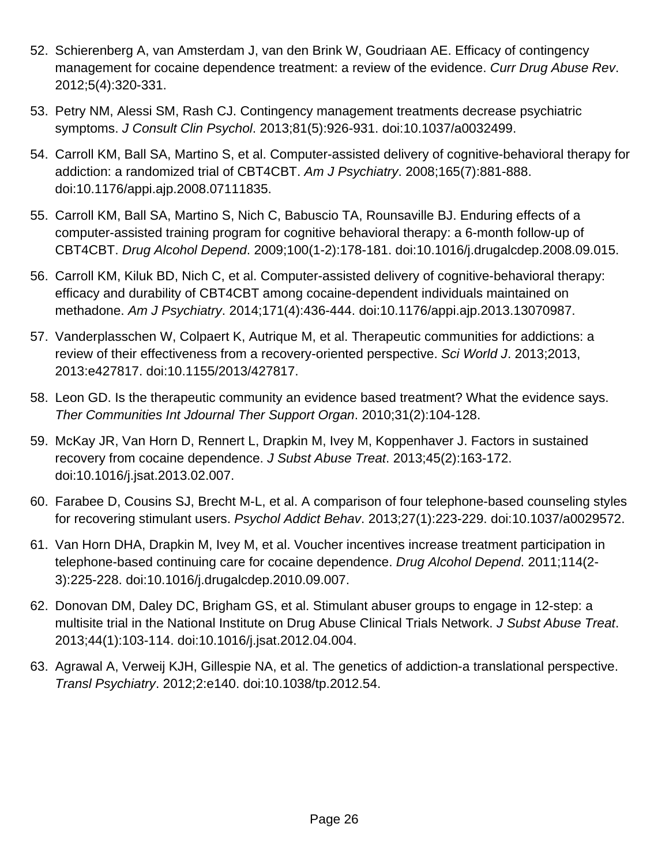- 52. Schierenberg A, van Amsterdam J, van den Brink W, Goudriaan AE. Efficacy of contingency management for cocaine dependence treatment: a review of the evidence. Curr Drug Abuse Rev. 2012;5(4):320-331.
- 53. Petry NM, Alessi SM, Rash CJ. Contingency management treatments decrease psychiatric symptoms. J Consult Clin Psychol. 2013;81(5):926-931. doi:10.1037/a0032499.
- 54. Carroll KM, Ball SA, Martino S, et al. Computer-assisted delivery of cognitive-behavioral therapy for addiction: a randomized trial of CBT4CBT. Am J Psychiatry. 2008;165(7):881-888. doi:10.1176/appi.ajp.2008.07111835.
- 55. Carroll KM, Ball SA, Martino S, Nich C, Babuscio TA, Rounsaville BJ. Enduring effects of a computer-assisted training program for cognitive behavioral therapy: a 6-month follow-up of CBT4CBT. Drug Alcohol Depend. 2009;100(1-2):178-181. doi:10.1016/j.drugalcdep.2008.09.015.
- 56. Carroll KM, Kiluk BD, Nich C, et al. Computer-assisted delivery of cognitive-behavioral therapy: efficacy and durability of CBT4CBT among cocaine-dependent individuals maintained on methadone. Am J Psychiatry. 2014;171(4):436-444. doi:10.1176/appi.ajp.2013.13070987.
- 57. Vanderplasschen W, Colpaert K, Autrique M, et al. Therapeutic communities for addictions: a review of their effectiveness from a recovery-oriented perspective. Sci World J. 2013;2013, 2013:e427817. doi:10.1155/2013/427817.
- 58. Leon GD. Is the therapeutic community an evidence based treatment? What the evidence says. Ther Communities Int Jdournal Ther Support Organ. 2010;31(2):104-128.
- 59. McKay JR, Van Horn D, Rennert L, Drapkin M, Ivey M, Koppenhaver J. Factors in sustained recovery from cocaine dependence. J Subst Abuse Treat. 2013;45(2):163-172. doi:10.1016/j.jsat.2013.02.007.
- 60. Farabee D, Cousins SJ, Brecht M-L, et al. A comparison of four telephone-based counseling styles for recovering stimulant users. Psychol Addict Behav. 2013;27(1):223-229. doi:10.1037/a0029572.
- 61. Van Horn DHA, Drapkin M, Ivey M, et al. Voucher incentives increase treatment participation in telephone-based continuing care for cocaine dependence. Drug Alcohol Depend. 2011;114(2- 3):225-228. doi:10.1016/j.drugalcdep.2010.09.007.
- 62. Donovan DM, Daley DC, Brigham GS, et al. Stimulant abuser groups to engage in 12-step: a multisite trial in the National Institute on Drug Abuse Clinical Trials Network. J Subst Abuse Treat. 2013;44(1):103-114. doi:10.1016/j.jsat.2012.04.004.
- 63. Agrawal A, Verweij KJH, Gillespie NA, et al. The genetics of addiction-a translational perspective. Transl Psychiatry. 2012;2:e140. doi:10.1038/tp.2012.54.